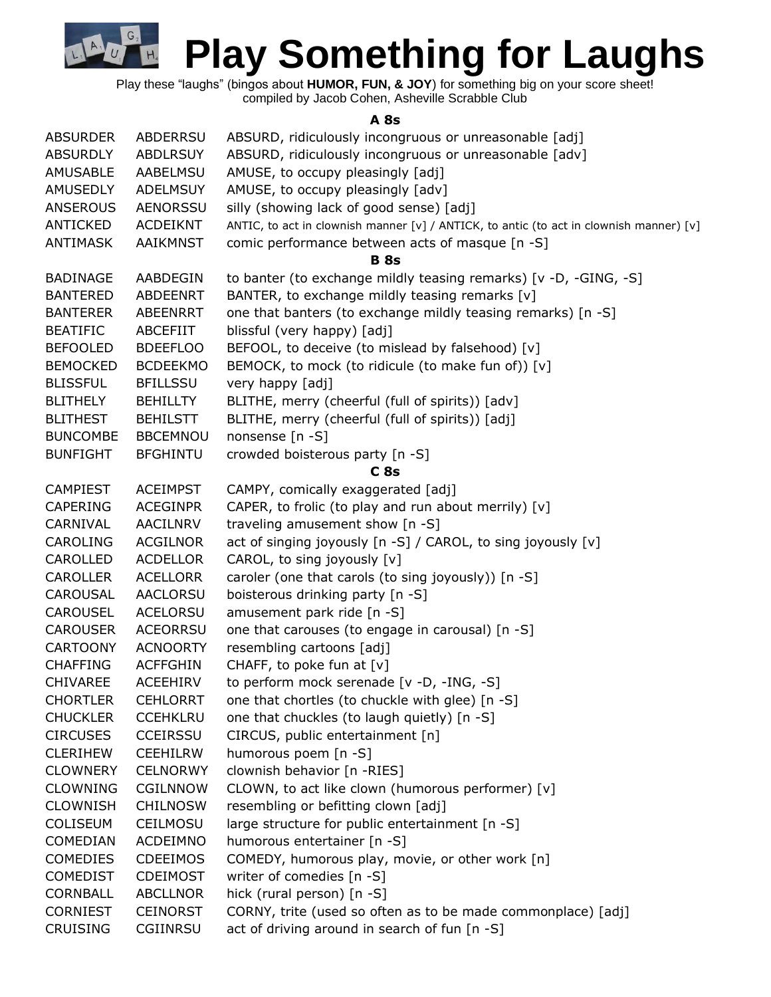Play these "laughs" (bingos about **HUMOR, FUN, & JOY**) for something big on your score sheet! compiled by Jacob Cohen, Asheville Scrabble Club

G

 $H<sub>4</sub>$ 

**A 8s**

| ABSURD, ridiculously incongruous or unreasonable [adv]<br><b>ABSURDLY</b><br><b>ABDLRSUY</b><br>AMUSE, to occupy pleasingly [adj]<br><b>AMUSABLE</b><br>AABELMSU<br>AMUSE, to occupy pleasingly [adv]<br><b>AMUSEDLY</b><br>ADELMSUY<br><b>ANSEROUS</b><br>AENORSSU<br>silly (showing lack of good sense) [adj]<br>ANTICKED<br>ACDEIKNT<br>ANTIC, to act in clownish manner [v] / ANTICK, to antic (to act in clownish manner) [v]<br>AAIKMNST<br>comic performance between acts of masque [n -S]<br><b>ANTIMASK</b><br><b>B</b> 8s<br>to banter (to exchange mildly teasing remarks) [v -D, -GING, -S]<br><b>BADINAGE</b><br>AABDEGIN<br>BANTER, to exchange mildly teasing remarks [v]<br><b>BANTERED</b><br>ABDEENRT<br><b>BANTERER</b><br>ABEENRRT<br>one that banters (to exchange mildly teasing remarks) [n -S]<br>blissful (very happy) [adj]<br><b>BEATIFIC</b><br>ABCEFIIT<br>BEFOOL, to deceive (to mislead by falsehood) [v]<br><b>BEFOOLED</b><br><b>BDEEFLOO</b><br><b>BEMOCKED</b><br><b>BCDEEKMO</b><br>BEMOCK, to mock (to ridicule (to make fun of)) [v]<br><b>BLISSFUL</b><br><b>BFILLSSU</b><br>very happy [adj]<br>BLITHE, merry (cheerful (full of spirits)) [adv]<br><b>BLITHELY</b><br><b>BEHILLTY</b><br><b>BLITHEST</b><br><b>BEHILSTT</b><br>BLITHE, merry (cheerful (full of spirits)) [adj]<br>nonsense [n -S]<br><b>BUNCOMBE</b><br><b>BBCEMNOU</b><br>crowded boisterous party [n -S]<br><b>BUNFIGHT</b><br><b>BFGHINTU</b><br>C8s<br><b>ACEIMPST</b><br>CAMPY, comically exaggerated [adj]<br><b>CAMPIEST</b><br>CAPER, to frolic (to play and run about merrily) [v]<br><b>CAPERING</b><br><b>ACEGINPR</b><br>CARNIVAL<br>AACILNRV<br>traveling amusement show [n -S]<br>act of singing joyously [n -S] / CAROL, to sing joyously [v]<br><b>CAROLING</b><br><b>ACGILNOR</b><br>CAROLLED<br><b>ACDELLOR</b><br>CAROL, to sing joyously [v]<br><b>CAROLLER</b><br>caroler (one that carols (to sing joyously)) [n -S]<br>ACELLORR<br>boisterous drinking party [n -S]<br><b>CAROUSAL</b><br><b>AACLORSU</b><br><b>CAROUSEL</b><br><b>ACELORSU</b><br>amusement park ride [n -S]<br><b>CAROUSER</b><br><b>ACEORRSU</b><br>one that carouses (to engage in carousal) [n -S]<br><b>CARTOONY</b><br>resembling cartoons [adj]<br><b>ACNOORTY</b><br>CHAFF, to poke fun at $[v]$<br><b>ACFFGHIN</b><br><b>CHAFFING</b><br>to perform mock serenade [v -D, -ING, -S]<br><b>CHIVAREE</b><br><b>ACEEHIRV</b><br>one that chortles (to chuckle with glee) [n -S]<br><b>CHORTLER</b><br><b>CEHLORRT</b><br><b>CHUCKLER</b><br><b>CCEHKLRU</b><br>one that chuckles (to laugh quietly) [n -S]<br><b>CIRCUSES</b><br><b>CCEIRSSU</b><br>CIRCUS, public entertainment [n]<br>humorous poem [n -S]<br><b>CLERIHEW</b><br><b>CEEHILRW</b><br>clownish behavior [n -RIES]<br><b>CLOWNERY</b><br><b>CELNORWY</b><br><b>CLOWNING</b><br>CGILNNOW<br>CLOWN, to act like clown (humorous performer) [v]<br>resembling or befitting clown [adj]<br><b>CLOWNISH</b><br><b>CHILNOSW</b><br>large structure for public entertainment [n -S]<br><b>COLISEUM</b><br>CEILMOSU<br>COMEDIAN<br>ACDEIMNO<br>humorous entertainer [n -S]<br>COMEDY, humorous play, movie, or other work [n]<br><b>COMEDIES</b><br><b>CDEEIMOS</b><br>writer of comedies [n -S]<br><b>COMEDIST</b><br><b>CDEIMOST</b><br>CORNBALL<br><b>ABCLLNOR</b><br>hick (rural person) [n -S]<br>CORNY, trite (used so often as to be made commonplace) [adj]<br><b>CORNIEST</b><br><b>CEINORST</b><br><b>CRUISING</b><br>act of driving around in search of fun [n -S]<br>CGIINRSU | <b>ABSURDER</b> | <b>ABDERRSU</b> | ABSURD, ridiculously incongruous or unreasonable [adj] |
|---------------------------------------------------------------------------------------------------------------------------------------------------------------------------------------------------------------------------------------------------------------------------------------------------------------------------------------------------------------------------------------------------------------------------------------------------------------------------------------------------------------------------------------------------------------------------------------------------------------------------------------------------------------------------------------------------------------------------------------------------------------------------------------------------------------------------------------------------------------------------------------------------------------------------------------------------------------------------------------------------------------------------------------------------------------------------------------------------------------------------------------------------------------------------------------------------------------------------------------------------------------------------------------------------------------------------------------------------------------------------------------------------------------------------------------------------------------------------------------------------------------------------------------------------------------------------------------------------------------------------------------------------------------------------------------------------------------------------------------------------------------------------------------------------------------------------------------------------------------------------------------------------------------------------------------------------------------------------------------------------------------------------------------------------------------------------------------------------------------------------------------------------------------------------------------------------------------------------------------------------------------------------------------------------------------------------------------------------------------------------------------------------------------------------------------------------------------------------------------------------------------------------------------------------------------------------------------------------------------------------------------------------------------------------------------------------------------------------------------------------------------------------------------------------------------------------------------------------------------------------------------------------------------------------------------------------------------------------------------------------------------------------------------------------------------------------------------------------------------------------------------------------------------------------------------------------------------------------------------------------------------------------------------------------------------------------------------------------------------------------------------------------------------------------------------------------------------------------------------------------------------------------------------------------------|-----------------|-----------------|--------------------------------------------------------|
|                                                                                                                                                                                                                                                                                                                                                                                                                                                                                                                                                                                                                                                                                                                                                                                                                                                                                                                                                                                                                                                                                                                                                                                                                                                                                                                                                                                                                                                                                                                                                                                                                                                                                                                                                                                                                                                                                                                                                                                                                                                                                                                                                                                                                                                                                                                                                                                                                                                                                                                                                                                                                                                                                                                                                                                                                                                                                                                                                                                                                                                                                                                                                                                                                                                                                                                                                                                                                                                                                                                                                         |                 |                 |                                                        |
|                                                                                                                                                                                                                                                                                                                                                                                                                                                                                                                                                                                                                                                                                                                                                                                                                                                                                                                                                                                                                                                                                                                                                                                                                                                                                                                                                                                                                                                                                                                                                                                                                                                                                                                                                                                                                                                                                                                                                                                                                                                                                                                                                                                                                                                                                                                                                                                                                                                                                                                                                                                                                                                                                                                                                                                                                                                                                                                                                                                                                                                                                                                                                                                                                                                                                                                                                                                                                                                                                                                                                         |                 |                 |                                                        |
|                                                                                                                                                                                                                                                                                                                                                                                                                                                                                                                                                                                                                                                                                                                                                                                                                                                                                                                                                                                                                                                                                                                                                                                                                                                                                                                                                                                                                                                                                                                                                                                                                                                                                                                                                                                                                                                                                                                                                                                                                                                                                                                                                                                                                                                                                                                                                                                                                                                                                                                                                                                                                                                                                                                                                                                                                                                                                                                                                                                                                                                                                                                                                                                                                                                                                                                                                                                                                                                                                                                                                         |                 |                 |                                                        |
|                                                                                                                                                                                                                                                                                                                                                                                                                                                                                                                                                                                                                                                                                                                                                                                                                                                                                                                                                                                                                                                                                                                                                                                                                                                                                                                                                                                                                                                                                                                                                                                                                                                                                                                                                                                                                                                                                                                                                                                                                                                                                                                                                                                                                                                                                                                                                                                                                                                                                                                                                                                                                                                                                                                                                                                                                                                                                                                                                                                                                                                                                                                                                                                                                                                                                                                                                                                                                                                                                                                                                         |                 |                 |                                                        |
|                                                                                                                                                                                                                                                                                                                                                                                                                                                                                                                                                                                                                                                                                                                                                                                                                                                                                                                                                                                                                                                                                                                                                                                                                                                                                                                                                                                                                                                                                                                                                                                                                                                                                                                                                                                                                                                                                                                                                                                                                                                                                                                                                                                                                                                                                                                                                                                                                                                                                                                                                                                                                                                                                                                                                                                                                                                                                                                                                                                                                                                                                                                                                                                                                                                                                                                                                                                                                                                                                                                                                         |                 |                 |                                                        |
|                                                                                                                                                                                                                                                                                                                                                                                                                                                                                                                                                                                                                                                                                                                                                                                                                                                                                                                                                                                                                                                                                                                                                                                                                                                                                                                                                                                                                                                                                                                                                                                                                                                                                                                                                                                                                                                                                                                                                                                                                                                                                                                                                                                                                                                                                                                                                                                                                                                                                                                                                                                                                                                                                                                                                                                                                                                                                                                                                                                                                                                                                                                                                                                                                                                                                                                                                                                                                                                                                                                                                         |                 |                 |                                                        |
|                                                                                                                                                                                                                                                                                                                                                                                                                                                                                                                                                                                                                                                                                                                                                                                                                                                                                                                                                                                                                                                                                                                                                                                                                                                                                                                                                                                                                                                                                                                                                                                                                                                                                                                                                                                                                                                                                                                                                                                                                                                                                                                                                                                                                                                                                                                                                                                                                                                                                                                                                                                                                                                                                                                                                                                                                                                                                                                                                                                                                                                                                                                                                                                                                                                                                                                                                                                                                                                                                                                                                         |                 |                 |                                                        |
|                                                                                                                                                                                                                                                                                                                                                                                                                                                                                                                                                                                                                                                                                                                                                                                                                                                                                                                                                                                                                                                                                                                                                                                                                                                                                                                                                                                                                                                                                                                                                                                                                                                                                                                                                                                                                                                                                                                                                                                                                                                                                                                                                                                                                                                                                                                                                                                                                                                                                                                                                                                                                                                                                                                                                                                                                                                                                                                                                                                                                                                                                                                                                                                                                                                                                                                                                                                                                                                                                                                                                         |                 |                 |                                                        |
|                                                                                                                                                                                                                                                                                                                                                                                                                                                                                                                                                                                                                                                                                                                                                                                                                                                                                                                                                                                                                                                                                                                                                                                                                                                                                                                                                                                                                                                                                                                                                                                                                                                                                                                                                                                                                                                                                                                                                                                                                                                                                                                                                                                                                                                                                                                                                                                                                                                                                                                                                                                                                                                                                                                                                                                                                                                                                                                                                                                                                                                                                                                                                                                                                                                                                                                                                                                                                                                                                                                                                         |                 |                 |                                                        |
|                                                                                                                                                                                                                                                                                                                                                                                                                                                                                                                                                                                                                                                                                                                                                                                                                                                                                                                                                                                                                                                                                                                                                                                                                                                                                                                                                                                                                                                                                                                                                                                                                                                                                                                                                                                                                                                                                                                                                                                                                                                                                                                                                                                                                                                                                                                                                                                                                                                                                                                                                                                                                                                                                                                                                                                                                                                                                                                                                                                                                                                                                                                                                                                                                                                                                                                                                                                                                                                                                                                                                         |                 |                 |                                                        |
|                                                                                                                                                                                                                                                                                                                                                                                                                                                                                                                                                                                                                                                                                                                                                                                                                                                                                                                                                                                                                                                                                                                                                                                                                                                                                                                                                                                                                                                                                                                                                                                                                                                                                                                                                                                                                                                                                                                                                                                                                                                                                                                                                                                                                                                                                                                                                                                                                                                                                                                                                                                                                                                                                                                                                                                                                                                                                                                                                                                                                                                                                                                                                                                                                                                                                                                                                                                                                                                                                                                                                         |                 |                 |                                                        |
|                                                                                                                                                                                                                                                                                                                                                                                                                                                                                                                                                                                                                                                                                                                                                                                                                                                                                                                                                                                                                                                                                                                                                                                                                                                                                                                                                                                                                                                                                                                                                                                                                                                                                                                                                                                                                                                                                                                                                                                                                                                                                                                                                                                                                                                                                                                                                                                                                                                                                                                                                                                                                                                                                                                                                                                                                                                                                                                                                                                                                                                                                                                                                                                                                                                                                                                                                                                                                                                                                                                                                         |                 |                 |                                                        |
|                                                                                                                                                                                                                                                                                                                                                                                                                                                                                                                                                                                                                                                                                                                                                                                                                                                                                                                                                                                                                                                                                                                                                                                                                                                                                                                                                                                                                                                                                                                                                                                                                                                                                                                                                                                                                                                                                                                                                                                                                                                                                                                                                                                                                                                                                                                                                                                                                                                                                                                                                                                                                                                                                                                                                                                                                                                                                                                                                                                                                                                                                                                                                                                                                                                                                                                                                                                                                                                                                                                                                         |                 |                 |                                                        |
|                                                                                                                                                                                                                                                                                                                                                                                                                                                                                                                                                                                                                                                                                                                                                                                                                                                                                                                                                                                                                                                                                                                                                                                                                                                                                                                                                                                                                                                                                                                                                                                                                                                                                                                                                                                                                                                                                                                                                                                                                                                                                                                                                                                                                                                                                                                                                                                                                                                                                                                                                                                                                                                                                                                                                                                                                                                                                                                                                                                                                                                                                                                                                                                                                                                                                                                                                                                                                                                                                                                                                         |                 |                 |                                                        |
|                                                                                                                                                                                                                                                                                                                                                                                                                                                                                                                                                                                                                                                                                                                                                                                                                                                                                                                                                                                                                                                                                                                                                                                                                                                                                                                                                                                                                                                                                                                                                                                                                                                                                                                                                                                                                                                                                                                                                                                                                                                                                                                                                                                                                                                                                                                                                                                                                                                                                                                                                                                                                                                                                                                                                                                                                                                                                                                                                                                                                                                                                                                                                                                                                                                                                                                                                                                                                                                                                                                                                         |                 |                 |                                                        |
|                                                                                                                                                                                                                                                                                                                                                                                                                                                                                                                                                                                                                                                                                                                                                                                                                                                                                                                                                                                                                                                                                                                                                                                                                                                                                                                                                                                                                                                                                                                                                                                                                                                                                                                                                                                                                                                                                                                                                                                                                                                                                                                                                                                                                                                                                                                                                                                                                                                                                                                                                                                                                                                                                                                                                                                                                                                                                                                                                                                                                                                                                                                                                                                                                                                                                                                                                                                                                                                                                                                                                         |                 |                 |                                                        |
|                                                                                                                                                                                                                                                                                                                                                                                                                                                                                                                                                                                                                                                                                                                                                                                                                                                                                                                                                                                                                                                                                                                                                                                                                                                                                                                                                                                                                                                                                                                                                                                                                                                                                                                                                                                                                                                                                                                                                                                                                                                                                                                                                                                                                                                                                                                                                                                                                                                                                                                                                                                                                                                                                                                                                                                                                                                                                                                                                                                                                                                                                                                                                                                                                                                                                                                                                                                                                                                                                                                                                         |                 |                 |                                                        |
|                                                                                                                                                                                                                                                                                                                                                                                                                                                                                                                                                                                                                                                                                                                                                                                                                                                                                                                                                                                                                                                                                                                                                                                                                                                                                                                                                                                                                                                                                                                                                                                                                                                                                                                                                                                                                                                                                                                                                                                                                                                                                                                                                                                                                                                                                                                                                                                                                                                                                                                                                                                                                                                                                                                                                                                                                                                                                                                                                                                                                                                                                                                                                                                                                                                                                                                                                                                                                                                                                                                                                         |                 |                 |                                                        |
|                                                                                                                                                                                                                                                                                                                                                                                                                                                                                                                                                                                                                                                                                                                                                                                                                                                                                                                                                                                                                                                                                                                                                                                                                                                                                                                                                                                                                                                                                                                                                                                                                                                                                                                                                                                                                                                                                                                                                                                                                                                                                                                                                                                                                                                                                                                                                                                                                                                                                                                                                                                                                                                                                                                                                                                                                                                                                                                                                                                                                                                                                                                                                                                                                                                                                                                                                                                                                                                                                                                                                         |                 |                 |                                                        |
|                                                                                                                                                                                                                                                                                                                                                                                                                                                                                                                                                                                                                                                                                                                                                                                                                                                                                                                                                                                                                                                                                                                                                                                                                                                                                                                                                                                                                                                                                                                                                                                                                                                                                                                                                                                                                                                                                                                                                                                                                                                                                                                                                                                                                                                                                                                                                                                                                                                                                                                                                                                                                                                                                                                                                                                                                                                                                                                                                                                                                                                                                                                                                                                                                                                                                                                                                                                                                                                                                                                                                         |                 |                 |                                                        |
|                                                                                                                                                                                                                                                                                                                                                                                                                                                                                                                                                                                                                                                                                                                                                                                                                                                                                                                                                                                                                                                                                                                                                                                                                                                                                                                                                                                                                                                                                                                                                                                                                                                                                                                                                                                                                                                                                                                                                                                                                                                                                                                                                                                                                                                                                                                                                                                                                                                                                                                                                                                                                                                                                                                                                                                                                                                                                                                                                                                                                                                                                                                                                                                                                                                                                                                                                                                                                                                                                                                                                         |                 |                 |                                                        |
|                                                                                                                                                                                                                                                                                                                                                                                                                                                                                                                                                                                                                                                                                                                                                                                                                                                                                                                                                                                                                                                                                                                                                                                                                                                                                                                                                                                                                                                                                                                                                                                                                                                                                                                                                                                                                                                                                                                                                                                                                                                                                                                                                                                                                                                                                                                                                                                                                                                                                                                                                                                                                                                                                                                                                                                                                                                                                                                                                                                                                                                                                                                                                                                                                                                                                                                                                                                                                                                                                                                                                         |                 |                 |                                                        |
|                                                                                                                                                                                                                                                                                                                                                                                                                                                                                                                                                                                                                                                                                                                                                                                                                                                                                                                                                                                                                                                                                                                                                                                                                                                                                                                                                                                                                                                                                                                                                                                                                                                                                                                                                                                                                                                                                                                                                                                                                                                                                                                                                                                                                                                                                                                                                                                                                                                                                                                                                                                                                                                                                                                                                                                                                                                                                                                                                                                                                                                                                                                                                                                                                                                                                                                                                                                                                                                                                                                                                         |                 |                 |                                                        |
|                                                                                                                                                                                                                                                                                                                                                                                                                                                                                                                                                                                                                                                                                                                                                                                                                                                                                                                                                                                                                                                                                                                                                                                                                                                                                                                                                                                                                                                                                                                                                                                                                                                                                                                                                                                                                                                                                                                                                                                                                                                                                                                                                                                                                                                                                                                                                                                                                                                                                                                                                                                                                                                                                                                                                                                                                                                                                                                                                                                                                                                                                                                                                                                                                                                                                                                                                                                                                                                                                                                                                         |                 |                 |                                                        |
|                                                                                                                                                                                                                                                                                                                                                                                                                                                                                                                                                                                                                                                                                                                                                                                                                                                                                                                                                                                                                                                                                                                                                                                                                                                                                                                                                                                                                                                                                                                                                                                                                                                                                                                                                                                                                                                                                                                                                                                                                                                                                                                                                                                                                                                                                                                                                                                                                                                                                                                                                                                                                                                                                                                                                                                                                                                                                                                                                                                                                                                                                                                                                                                                                                                                                                                                                                                                                                                                                                                                                         |                 |                 |                                                        |
|                                                                                                                                                                                                                                                                                                                                                                                                                                                                                                                                                                                                                                                                                                                                                                                                                                                                                                                                                                                                                                                                                                                                                                                                                                                                                                                                                                                                                                                                                                                                                                                                                                                                                                                                                                                                                                                                                                                                                                                                                                                                                                                                                                                                                                                                                                                                                                                                                                                                                                                                                                                                                                                                                                                                                                                                                                                                                                                                                                                                                                                                                                                                                                                                                                                                                                                                                                                                                                                                                                                                                         |                 |                 |                                                        |
|                                                                                                                                                                                                                                                                                                                                                                                                                                                                                                                                                                                                                                                                                                                                                                                                                                                                                                                                                                                                                                                                                                                                                                                                                                                                                                                                                                                                                                                                                                                                                                                                                                                                                                                                                                                                                                                                                                                                                                                                                                                                                                                                                                                                                                                                                                                                                                                                                                                                                                                                                                                                                                                                                                                                                                                                                                                                                                                                                                                                                                                                                                                                                                                                                                                                                                                                                                                                                                                                                                                                                         |                 |                 |                                                        |
|                                                                                                                                                                                                                                                                                                                                                                                                                                                                                                                                                                                                                                                                                                                                                                                                                                                                                                                                                                                                                                                                                                                                                                                                                                                                                                                                                                                                                                                                                                                                                                                                                                                                                                                                                                                                                                                                                                                                                                                                                                                                                                                                                                                                                                                                                                                                                                                                                                                                                                                                                                                                                                                                                                                                                                                                                                                                                                                                                                                                                                                                                                                                                                                                                                                                                                                                                                                                                                                                                                                                                         |                 |                 |                                                        |
|                                                                                                                                                                                                                                                                                                                                                                                                                                                                                                                                                                                                                                                                                                                                                                                                                                                                                                                                                                                                                                                                                                                                                                                                                                                                                                                                                                                                                                                                                                                                                                                                                                                                                                                                                                                                                                                                                                                                                                                                                                                                                                                                                                                                                                                                                                                                                                                                                                                                                                                                                                                                                                                                                                                                                                                                                                                                                                                                                                                                                                                                                                                                                                                                                                                                                                                                                                                                                                                                                                                                                         |                 |                 |                                                        |
|                                                                                                                                                                                                                                                                                                                                                                                                                                                                                                                                                                                                                                                                                                                                                                                                                                                                                                                                                                                                                                                                                                                                                                                                                                                                                                                                                                                                                                                                                                                                                                                                                                                                                                                                                                                                                                                                                                                                                                                                                                                                                                                                                                                                                                                                                                                                                                                                                                                                                                                                                                                                                                                                                                                                                                                                                                                                                                                                                                                                                                                                                                                                                                                                                                                                                                                                                                                                                                                                                                                                                         |                 |                 |                                                        |
|                                                                                                                                                                                                                                                                                                                                                                                                                                                                                                                                                                                                                                                                                                                                                                                                                                                                                                                                                                                                                                                                                                                                                                                                                                                                                                                                                                                                                                                                                                                                                                                                                                                                                                                                                                                                                                                                                                                                                                                                                                                                                                                                                                                                                                                                                                                                                                                                                                                                                                                                                                                                                                                                                                                                                                                                                                                                                                                                                                                                                                                                                                                                                                                                                                                                                                                                                                                                                                                                                                                                                         |                 |                 |                                                        |
|                                                                                                                                                                                                                                                                                                                                                                                                                                                                                                                                                                                                                                                                                                                                                                                                                                                                                                                                                                                                                                                                                                                                                                                                                                                                                                                                                                                                                                                                                                                                                                                                                                                                                                                                                                                                                                                                                                                                                                                                                                                                                                                                                                                                                                                                                                                                                                                                                                                                                                                                                                                                                                                                                                                                                                                                                                                                                                                                                                                                                                                                                                                                                                                                                                                                                                                                                                                                                                                                                                                                                         |                 |                 |                                                        |
|                                                                                                                                                                                                                                                                                                                                                                                                                                                                                                                                                                                                                                                                                                                                                                                                                                                                                                                                                                                                                                                                                                                                                                                                                                                                                                                                                                                                                                                                                                                                                                                                                                                                                                                                                                                                                                                                                                                                                                                                                                                                                                                                                                                                                                                                                                                                                                                                                                                                                                                                                                                                                                                                                                                                                                                                                                                                                                                                                                                                                                                                                                                                                                                                                                                                                                                                                                                                                                                                                                                                                         |                 |                 |                                                        |
|                                                                                                                                                                                                                                                                                                                                                                                                                                                                                                                                                                                                                                                                                                                                                                                                                                                                                                                                                                                                                                                                                                                                                                                                                                                                                                                                                                                                                                                                                                                                                                                                                                                                                                                                                                                                                                                                                                                                                                                                                                                                                                                                                                                                                                                                                                                                                                                                                                                                                                                                                                                                                                                                                                                                                                                                                                                                                                                                                                                                                                                                                                                                                                                                                                                                                                                                                                                                                                                                                                                                                         |                 |                 |                                                        |
|                                                                                                                                                                                                                                                                                                                                                                                                                                                                                                                                                                                                                                                                                                                                                                                                                                                                                                                                                                                                                                                                                                                                                                                                                                                                                                                                                                                                                                                                                                                                                                                                                                                                                                                                                                                                                                                                                                                                                                                                                                                                                                                                                                                                                                                                                                                                                                                                                                                                                                                                                                                                                                                                                                                                                                                                                                                                                                                                                                                                                                                                                                                                                                                                                                                                                                                                                                                                                                                                                                                                                         |                 |                 |                                                        |
|                                                                                                                                                                                                                                                                                                                                                                                                                                                                                                                                                                                                                                                                                                                                                                                                                                                                                                                                                                                                                                                                                                                                                                                                                                                                                                                                                                                                                                                                                                                                                                                                                                                                                                                                                                                                                                                                                                                                                                                                                                                                                                                                                                                                                                                                                                                                                                                                                                                                                                                                                                                                                                                                                                                                                                                                                                                                                                                                                                                                                                                                                                                                                                                                                                                                                                                                                                                                                                                                                                                                                         |                 |                 |                                                        |
|                                                                                                                                                                                                                                                                                                                                                                                                                                                                                                                                                                                                                                                                                                                                                                                                                                                                                                                                                                                                                                                                                                                                                                                                                                                                                                                                                                                                                                                                                                                                                                                                                                                                                                                                                                                                                                                                                                                                                                                                                                                                                                                                                                                                                                                                                                                                                                                                                                                                                                                                                                                                                                                                                                                                                                                                                                                                                                                                                                                                                                                                                                                                                                                                                                                                                                                                                                                                                                                                                                                                                         |                 |                 |                                                        |
|                                                                                                                                                                                                                                                                                                                                                                                                                                                                                                                                                                                                                                                                                                                                                                                                                                                                                                                                                                                                                                                                                                                                                                                                                                                                                                                                                                                                                                                                                                                                                                                                                                                                                                                                                                                                                                                                                                                                                                                                                                                                                                                                                                                                                                                                                                                                                                                                                                                                                                                                                                                                                                                                                                                                                                                                                                                                                                                                                                                                                                                                                                                                                                                                                                                                                                                                                                                                                                                                                                                                                         |                 |                 |                                                        |
|                                                                                                                                                                                                                                                                                                                                                                                                                                                                                                                                                                                                                                                                                                                                                                                                                                                                                                                                                                                                                                                                                                                                                                                                                                                                                                                                                                                                                                                                                                                                                                                                                                                                                                                                                                                                                                                                                                                                                                                                                                                                                                                                                                                                                                                                                                                                                                                                                                                                                                                                                                                                                                                                                                                                                                                                                                                                                                                                                                                                                                                                                                                                                                                                                                                                                                                                                                                                                                                                                                                                                         |                 |                 |                                                        |
|                                                                                                                                                                                                                                                                                                                                                                                                                                                                                                                                                                                                                                                                                                                                                                                                                                                                                                                                                                                                                                                                                                                                                                                                                                                                                                                                                                                                                                                                                                                                                                                                                                                                                                                                                                                                                                                                                                                                                                                                                                                                                                                                                                                                                                                                                                                                                                                                                                                                                                                                                                                                                                                                                                                                                                                                                                                                                                                                                                                                                                                                                                                                                                                                                                                                                                                                                                                                                                                                                                                                                         |                 |                 |                                                        |
|                                                                                                                                                                                                                                                                                                                                                                                                                                                                                                                                                                                                                                                                                                                                                                                                                                                                                                                                                                                                                                                                                                                                                                                                                                                                                                                                                                                                                                                                                                                                                                                                                                                                                                                                                                                                                                                                                                                                                                                                                                                                                                                                                                                                                                                                                                                                                                                                                                                                                                                                                                                                                                                                                                                                                                                                                                                                                                                                                                                                                                                                                                                                                                                                                                                                                                                                                                                                                                                                                                                                                         |                 |                 |                                                        |
|                                                                                                                                                                                                                                                                                                                                                                                                                                                                                                                                                                                                                                                                                                                                                                                                                                                                                                                                                                                                                                                                                                                                                                                                                                                                                                                                                                                                                                                                                                                                                                                                                                                                                                                                                                                                                                                                                                                                                                                                                                                                                                                                                                                                                                                                                                                                                                                                                                                                                                                                                                                                                                                                                                                                                                                                                                                                                                                                                                                                                                                                                                                                                                                                                                                                                                                                                                                                                                                                                                                                                         |                 |                 |                                                        |
|                                                                                                                                                                                                                                                                                                                                                                                                                                                                                                                                                                                                                                                                                                                                                                                                                                                                                                                                                                                                                                                                                                                                                                                                                                                                                                                                                                                                                                                                                                                                                                                                                                                                                                                                                                                                                                                                                                                                                                                                                                                                                                                                                                                                                                                                                                                                                                                                                                                                                                                                                                                                                                                                                                                                                                                                                                                                                                                                                                                                                                                                                                                                                                                                                                                                                                                                                                                                                                                                                                                                                         |                 |                 |                                                        |
|                                                                                                                                                                                                                                                                                                                                                                                                                                                                                                                                                                                                                                                                                                                                                                                                                                                                                                                                                                                                                                                                                                                                                                                                                                                                                                                                                                                                                                                                                                                                                                                                                                                                                                                                                                                                                                                                                                                                                                                                                                                                                                                                                                                                                                                                                                                                                                                                                                                                                                                                                                                                                                                                                                                                                                                                                                                                                                                                                                                                                                                                                                                                                                                                                                                                                                                                                                                                                                                                                                                                                         |                 |                 |                                                        |
|                                                                                                                                                                                                                                                                                                                                                                                                                                                                                                                                                                                                                                                                                                                                                                                                                                                                                                                                                                                                                                                                                                                                                                                                                                                                                                                                                                                                                                                                                                                                                                                                                                                                                                                                                                                                                                                                                                                                                                                                                                                                                                                                                                                                                                                                                                                                                                                                                                                                                                                                                                                                                                                                                                                                                                                                                                                                                                                                                                                                                                                                                                                                                                                                                                                                                                                                                                                                                                                                                                                                                         |                 |                 |                                                        |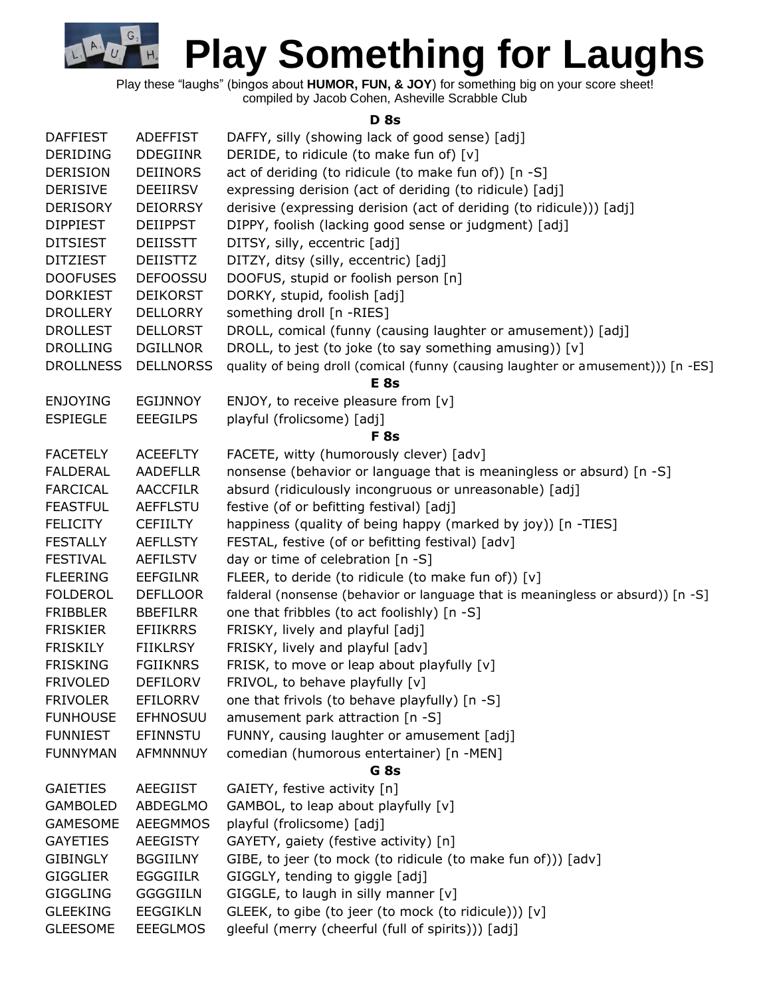

Play these "laughs" (bingos about **HUMOR, FUN, & JOY**) for something big on your score sheet!

compiled by Jacob Cohen, Asheville Scrabble Club

## **D 8s**

| <b>DAFFIEST</b>  | <b>ADEFFIST</b>  | DAFFY, silly (showing lack of good sense) [adj]                                  |
|------------------|------------------|----------------------------------------------------------------------------------|
| <b>DERIDING</b>  | <b>DDEGIINR</b>  | DERIDE, to ridicule (to make fun of) [v]                                         |
| <b>DERISION</b>  | <b>DEIINORS</b>  | act of deriding (to ridicule (to make fun of)) [n -S]                            |
| <b>DERISIVE</b>  | <b>DEEIIRSV</b>  | expressing derision (act of deriding (to ridicule) [adj]                         |
| <b>DERISORY</b>  | <b>DEIORRSY</b>  | derisive (expressing derision (act of deriding (to ridicule))) [adj]             |
| <b>DIPPIEST</b>  | <b>DEIIPPST</b>  | DIPPY, foolish (lacking good sense or judgment) [adj]                            |
| <b>DITSIEST</b>  | <b>DEIISSTT</b>  | DITSY, silly, eccentric [adj]                                                    |
| <b>DITZIEST</b>  | <b>DEIISTTZ</b>  | DITZY, ditsy (silly, eccentric) [adj]                                            |
| <b>DOOFUSES</b>  | <b>DEFOOSSU</b>  | DOOFUS, stupid or foolish person [n]                                             |
| <b>DORKIEST</b>  | <b>DEIKORST</b>  | DORKY, stupid, foolish [adj]                                                     |
| <b>DROLLERY</b>  | <b>DELLORRY</b>  | something droll [n -RIES]                                                        |
| <b>DROLLEST</b>  | <b>DELLORST</b>  | DROLL, comical (funny (causing laughter or amusement)) [adj]                     |
| <b>DROLLING</b>  | <b>DGILLNOR</b>  | DROLL, to jest (to joke (to say something amusing)) [v]                          |
| <b>DROLLNESS</b> | <b>DELLNORSS</b> | quality of being droll (comical (funny (causing laughter or amusement))) [n -ES] |
|                  |                  | E <sub>8s</sub>                                                                  |
| <b>ENJOYING</b>  | <b>EGIJNNOY</b>  | ENJOY, to receive pleasure from [v]                                              |
| <b>ESPIEGLE</b>  | <b>EEEGILPS</b>  | playful (frolicsome) [adj]                                                       |
|                  |                  | <b>F</b> 8s                                                                      |
| <b>FACETELY</b>  | <b>ACEEFLTY</b>  | FACETE, witty (humorously clever) [adv]                                          |
| <b>FALDERAL</b>  | <b>AADEFLLR</b>  | nonsense (behavior or language that is meaningless or absurd) [n -S]             |
| <b>FARCICAL</b>  | <b>AACCFILR</b>  | absurd (ridiculously incongruous or unreasonable) [adj]                          |
| <b>FEASTFUL</b>  | <b>AEFFLSTU</b>  | festive (of or befitting festival) [adj]                                         |
| <b>FELICITY</b>  | <b>CEFIILTY</b>  | happiness (quality of being happy (marked by joy)) [n -TIES]                     |
| <b>FESTALLY</b>  | <b>AEFLLSTY</b>  | FESTAL, festive (of or befitting festival) [adv]                                 |
| <b>FESTIVAL</b>  | <b>AEFILSTV</b>  | day or time of celebration [n -S]                                                |
| <b>FLEERING</b>  | <b>EEFGILNR</b>  | FLEER, to deride (to ridicule (to make fun of)) [v]                              |
| <b>FOLDEROL</b>  | <b>DEFLLOOR</b>  | falderal (nonsense (behavior or language that is meaningless or absurd)) [n -S]  |
| <b>FRIBBLER</b>  | <b>BBEFILRR</b>  | one that fribbles (to act foolishly) [n -S]                                      |
| <b>FRISKIER</b>  | <b>EFIIKRRS</b>  | FRISKY, lively and playful [adj]                                                 |
| <b>FRISKILY</b>  | <b>FIIKLRSY</b>  | FRISKY, lively and playful [adv]                                                 |
| <b>FRISKING</b>  | <b>FGIIKNRS</b>  | FRISK, to move or leap about playfully [v]                                       |
| <b>FRIVOLED</b>  | <b>DEFILORV</b>  | FRIVOL, to behave playfully [v]                                                  |
| <b>FRIVOLER</b>  | <b>EFILORRV</b>  | one that frivols (to behave playfully) [n -S]                                    |
| <b>FUNHOUSE</b>  | <b>EFHNOSUU</b>  | amusement park attraction [n -S]                                                 |
| <b>FUNNIEST</b>  | <b>EFINNSTU</b>  | FUNNY, causing laughter or amusement [adj]                                       |
| <b>FUNNYMAN</b>  | <b>AFMNNNUY</b>  | comedian (humorous entertainer) [n -MEN]                                         |
|                  |                  | G <sub>8s</sub>                                                                  |
| <b>GAIETIES</b>  | <b>AEEGIIST</b>  | GAIETY, festive activity [n]                                                     |
| <b>GAMBOLED</b>  | <b>ABDEGLMO</b>  | GAMBOL, to leap about playfully [v]                                              |
| <b>GAMESOME</b>  | <b>AEEGMMOS</b>  | playful (frolicsome) [adj]                                                       |
| <b>GAYETIES</b>  | <b>AEEGISTY</b>  | GAYETY, gaiety (festive activity) [n]                                            |
| <b>GIBINGLY</b>  | <b>BGGIILNY</b>  | GIBE, to jeer (to mock (to ridicule (to make fun of))) [adv]                     |
| <b>GIGGLIER</b>  | <b>EGGGIILR</b>  | GIGGLY, tending to giggle [adj]                                                  |
| <b>GIGGLING</b>  | <b>GGGGIILN</b>  | GIGGLE, to laugh in silly manner $[v]$                                           |
| <b>GLEEKING</b>  | <b>EEGGIKLN</b>  | GLEEK, to gibe (to jeer (to mock (to ridicule))) [v]                             |
| <b>GLEESOME</b>  | <b>EEEGLMOS</b>  | gleeful (merry (cheerful (full of spirits))) [adj]                               |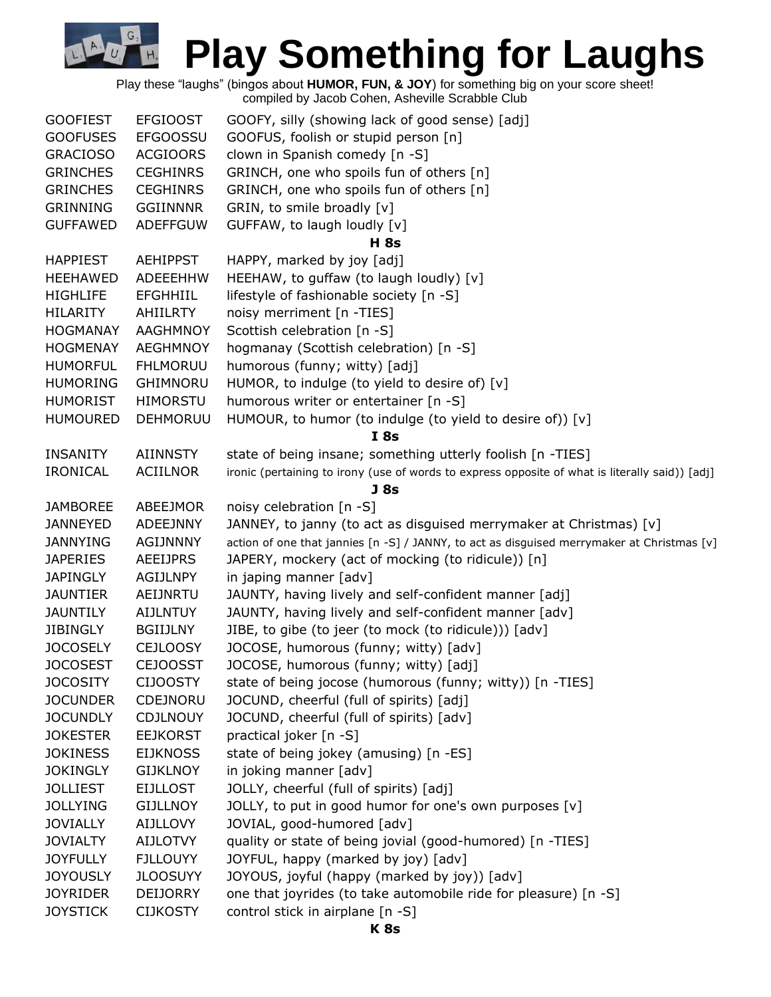Play these "laughs" (bingos about **HUMOR, FUN, & JOY**) for something big on your score sheet! compiled by Jacob Cohen, Asheville Scrabble Club

G

 $H<sub>4</sub>$ 

| <b>GOOFIEST</b> | <b>EFGIOOST</b> | GOOFY, silly (showing lack of good sense) [adj]                                                 |
|-----------------|-----------------|-------------------------------------------------------------------------------------------------|
| <b>GOOFUSES</b> | <b>EFGOOSSU</b> | GOOFUS, foolish or stupid person [n]                                                            |
| <b>GRACIOSO</b> | <b>ACGIOORS</b> | clown in Spanish comedy [n -S]                                                                  |
| <b>GRINCHES</b> | <b>CEGHINRS</b> | GRINCH, one who spoils fun of others [n]                                                        |
| <b>GRINCHES</b> | <b>CEGHINRS</b> | GRINCH, one who spoils fun of others [n]                                                        |
| <b>GRINNING</b> | <b>GGIINNNR</b> | GRIN, to smile broadly [v]                                                                      |
| <b>GUFFAWED</b> | <b>ADEFFGUW</b> | GUFFAW, to laugh loudly [v]                                                                     |
|                 |                 | <b>H</b> 8s                                                                                     |
| <b>HAPPIEST</b> | <b>AEHIPPST</b> | HAPPY, marked by joy [adj]                                                                      |
| HEEHAWED        | ADEEEHHW        | HEEHAW, to guffaw (to laugh loudly) [v]                                                         |
| <b>HIGHLIFE</b> | <b>EFGHHIIL</b> | lifestyle of fashionable society [n -S]                                                         |
| <b>HILARITY</b> | <b>AHIILRTY</b> | noisy merriment [n -TIES]                                                                       |
| <b>HOGMANAY</b> | AAGHMNOY        | Scottish celebration [n -S]                                                                     |
| <b>HOGMENAY</b> | <b>AEGHMNOY</b> | hogmanay (Scottish celebration) [n -S]                                                          |
| <b>HUMORFUL</b> | <b>FHLMORUU</b> | humorous (funny; witty) [adj]                                                                   |
| <b>HUMORING</b> | <b>GHIMNORU</b> | HUMOR, to indulge (to yield to desire of) [v]                                                   |
| <b>HUMORIST</b> | <b>HIMORSTU</b> | humorous writer or entertainer [n -S]                                                           |
| <b>HUMOURED</b> | DEHMORUU        | HUMOUR, to humor (to indulge (to yield to desire of)) [v]                                       |
|                 |                 | I8s                                                                                             |
| <b>INSANITY</b> | <b>AIINNSTY</b> | state of being insane; something utterly foolish [n -TIES]                                      |
| <b>IRONICAL</b> | <b>ACIILNOR</b> | ironic (pertaining to irony (use of words to express opposite of what is literally said)) [adj] |
|                 |                 | J 8s                                                                                            |
| <b>JAMBOREE</b> | ABEEJMOR        | noisy celebration [n -S]                                                                        |
| <b>JANNEYED</b> | <b>ADEEJNNY</b> | JANNEY, to janny (to act as disguised merrymaker at Christmas) [v]                              |
| <b>JANNYING</b> | <b>AGIJNNNY</b> | action of one that jannies [n -S] / JANNY, to act as disguised merrymaker at Christmas [v]      |
| <b>JAPERIES</b> | <b>AEEIJPRS</b> | JAPERY, mockery (act of mocking (to ridicule)) [n]                                              |
| <b>JAPINGLY</b> | AGIJLNPY        | in japing manner [adv]                                                                          |
| <b>JAUNTIER</b> | AEIJNRTU        | JAUNTY, having lively and self-confident manner [adj]                                           |
| <b>JAUNTILY</b> | <b>AIJLNTUY</b> | JAUNTY, having lively and self-confident manner [adv]                                           |
| <b>JIBINGLY</b> | <b>BGIIJLNY</b> | JIBE, to gibe (to jeer (to mock (to ridicule))) [adv]                                           |
| <b>JOCOSELY</b> | <b>CEJLOOSY</b> | JOCOSE, humorous (funny; witty) [adv]                                                           |
| <b>JOCOSEST</b> | <b>CEJOOSST</b> | JOCOSE, humorous (funny; witty) [adj]                                                           |
| <b>JOCOSITY</b> | <b>CIJOOSTY</b> | state of being jocose (humorous (funny; witty)) [n -TIES]                                       |
| <b>JOCUNDER</b> | CDEJNORU        | JOCUND, cheerful (full of spirits) [adj]                                                        |
| <b>JOCUNDLY</b> | <b>CDJLNOUY</b> | JOCUND, cheerful (full of spirits) [adv]                                                        |
| <b>JOKESTER</b> | <b>EEJKORST</b> | practical joker [n -S]                                                                          |
| <b>JOKINESS</b> | <b>EIJKNOSS</b> | state of being jokey (amusing) [n -ES]                                                          |
| <b>JOKINGLY</b> | <b>GIJKLNOY</b> | in joking manner [adv]                                                                          |
| <b>JOLLIEST</b> | <b>EIJLLOST</b> | JOLLY, cheerful (full of spirits) [adj]                                                         |
| <b>JOLLYING</b> | <b>GIJLLNOY</b> | JOLLY, to put in good humor for one's own purposes [v]                                          |
| <b>JOVIALLY</b> | <b>AIJLLOVY</b> | JOVIAL, good-humored [adv]                                                                      |
| <b>JOVIALTY</b> | <b>AIJLOTVY</b> | quality or state of being jovial (good-humored) [n -TIES]                                       |
| <b>JOYFULLY</b> | <b>FJLLOUYY</b> | JOYFUL, happy (marked by joy) [adv]                                                             |
| <b>JOYOUSLY</b> | <b>JLOOSUYY</b> | JOYOUS, joyful (happy (marked by joy)) [adv]                                                    |
| <b>JOYRIDER</b> | <b>DEIJORRY</b> | one that joyrides (to take automobile ride for pleasure) [n -S]                                 |
| <b>JOYSTICK</b> | <b>CIJKOSTY</b> | control stick in airplane [n -S]                                                                |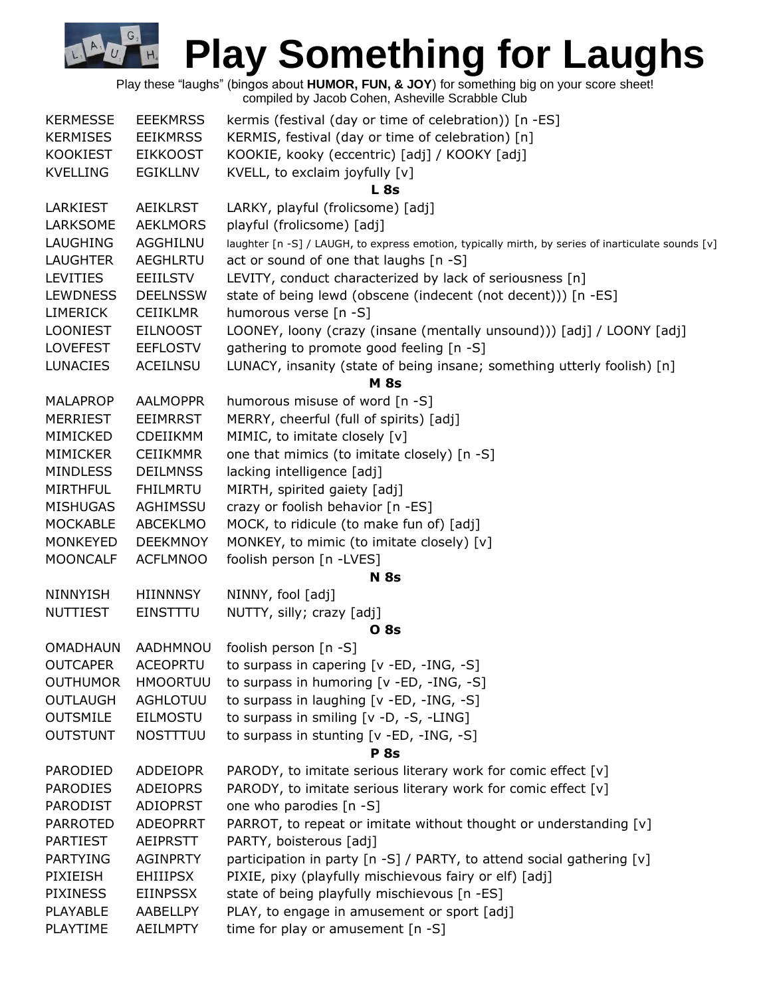|                 |                 | Play these "laughs" (bingos about HUMOR, FUN, & JOY) for something big on your score sheet!<br>compiled by Jacob Cohen, Asheville Scrabble Club |
|-----------------|-----------------|-------------------------------------------------------------------------------------------------------------------------------------------------|
| <b>KERMESSE</b> | <b>EEEKMRSS</b> | kermis (festival (day or time of celebration)) [n -ES]                                                                                          |
| <b>KERMISES</b> | <b>EEIKMRSS</b> | KERMIS, festival (day or time of celebration) [n]                                                                                               |
| <b>KOOKIEST</b> | <b>EIKKOOST</b> | KOOKIE, kooky (eccentric) [adj] / KOOKY [adj]                                                                                                   |
| <b>KVELLING</b> | <b>EGIKLLNV</b> | KVELL, to exclaim joyfully [v]                                                                                                                  |
|                 |                 | L <sub>8s</sub>                                                                                                                                 |
| LARKIEST        | <b>AEIKLRST</b> | LARKY, playful (frolicsome) [adj]                                                                                                               |
| LARKSOME        | <b>AEKLMORS</b> | playful (frolicsome) [adj]                                                                                                                      |
| LAUGHING        | AGGHILNU        | laughter [n -S] / LAUGH, to express emotion, typically mirth, by series of inarticulate sounds [v]                                              |
| <b>LAUGHTER</b> | <b>AEGHLRTU</b> | act or sound of one that laughs [n -S]                                                                                                          |
| <b>LEVITIES</b> | <b>EEIILSTV</b> | LEVITY, conduct characterized by lack of seriousness [n]                                                                                        |
| <b>LEWDNESS</b> | <b>DEELNSSW</b> | state of being lewd (obscene (indecent (not decent))) [n -ES]                                                                                   |
| <b>LIMERICK</b> | <b>CEIIKLMR</b> | humorous verse [n -S]                                                                                                                           |
| <b>LOONIEST</b> | <b>EILNOOST</b> | LOONEY, loony (crazy (insane (mentally unsound))) [adj] / LOONY [adj]                                                                           |
| <b>LOVEFEST</b> | <b>EEFLOSTV</b> | gathering to promote good feeling [n -S]                                                                                                        |
| <b>LUNACIES</b> | <b>ACEILNSU</b> | LUNACY, insanity (state of being insane; something utterly foolish) [n]                                                                         |
|                 |                 | <b>M</b> 8s                                                                                                                                     |
| <b>MALAPROP</b> | <b>AALMOPPR</b> | humorous misuse of word [n -S]                                                                                                                  |
| <b>MERRIEST</b> | <b>EEIMRRST</b> | MERRY, cheerful (full of spirits) [adj]                                                                                                         |
| MIMICKED        | CDEIIKMM        | MIMIC, to imitate closely [v]                                                                                                                   |
| <b>MIMICKER</b> | <b>CEIIKMMR</b> | one that mimics (to imitate closely) [n -S]                                                                                                     |
| <b>MINDLESS</b> | <b>DEILMNSS</b> | lacking intelligence [adj]                                                                                                                      |
| <b>MIRTHFUL</b> | <b>FHILMRTU</b> | MIRTH, spirited gaiety [adj]                                                                                                                    |
| <b>MISHUGAS</b> | AGHIMSSU        | crazy or foolish behavior [n -ES]                                                                                                               |
| <b>MOCKABLE</b> | <b>ABCEKLMO</b> | MOCK, to ridicule (to make fun of) [adj]                                                                                                        |
| <b>MONKEYED</b> | <b>DEEKMNOY</b> | MONKEY, to mimic (to imitate closely) [v]                                                                                                       |
| <b>MOONCALF</b> | <b>ACFLMNOO</b> | foolish person [n -LVES]                                                                                                                        |
|                 |                 | <b>N</b> 8s                                                                                                                                     |
| <b>NINNYISH</b> | <b>HIINNNSY</b> | NINNY, fool [adj]                                                                                                                               |
| <b>NUTTIEST</b> | EINSTTTU        | NUTTY, silly; crazy [adj]                                                                                                                       |
|                 |                 | 0 8s                                                                                                                                            |
| <b>OMADHAUN</b> | AADHMNOU        | foolish person [n -S]                                                                                                                           |
| <b>OUTCAPER</b> | <b>ACEOPRTU</b> | to surpass in capering [v -ED, -ING, -S]                                                                                                        |
| <b>OUTHUMOR</b> | <b>HMOORTUU</b> | to surpass in humoring [v -ED, -ING, -S]                                                                                                        |
| <b>OUTLAUGH</b> | <b>AGHLOTUU</b> | to surpass in laughing [v -ED, -ING, -S]                                                                                                        |
| <b>OUTSMILE</b> | <b>EILMOSTU</b> | to surpass in smiling [v -D, -S, -LING]                                                                                                         |
| <b>OUTSTUNT</b> | <b>NOSTTTUU</b> | to surpass in stunting [v -ED, -ING, -S]                                                                                                        |
|                 |                 | <b>P</b> 8s                                                                                                                                     |
| PARODIED        | <b>ADDEIOPR</b> | PARODY, to imitate serious literary work for comic effect [v]                                                                                   |
| <b>PARODIES</b> | <b>ADEIOPRS</b> | PARODY, to imitate serious literary work for comic effect [v]                                                                                   |
| <b>PARODIST</b> | <b>ADIOPRST</b> | one who parodies [n -S]                                                                                                                         |
| <b>PARROTED</b> | <b>ADEOPRRT</b> | PARROT, to repeat or imitate without thought or understanding [v]                                                                               |
| <b>PARTIEST</b> | AEIPRSTT        | PARTY, boisterous [adj]                                                                                                                         |
| <b>PARTYING</b> | <b>AGINPRTY</b> | participation in party [n -S] / PARTY, to attend social gathering [v]                                                                           |
| PIXIEISH        | <b>EHIIIPSX</b> | PIXIE, pixy (playfully mischievous fairy or elf) [adj]                                                                                          |
| <b>PIXINESS</b> | <b>EIINPSSX</b> | state of being playfully mischievous [n -ES]                                                                                                    |
| PLAYABLE        | AABELLPY        | PLAY, to engage in amusement or sport [adj]                                                                                                     |
| PLAYTIME        | <b>AEILMPTY</b> | time for play or amusement [n -S]                                                                                                               |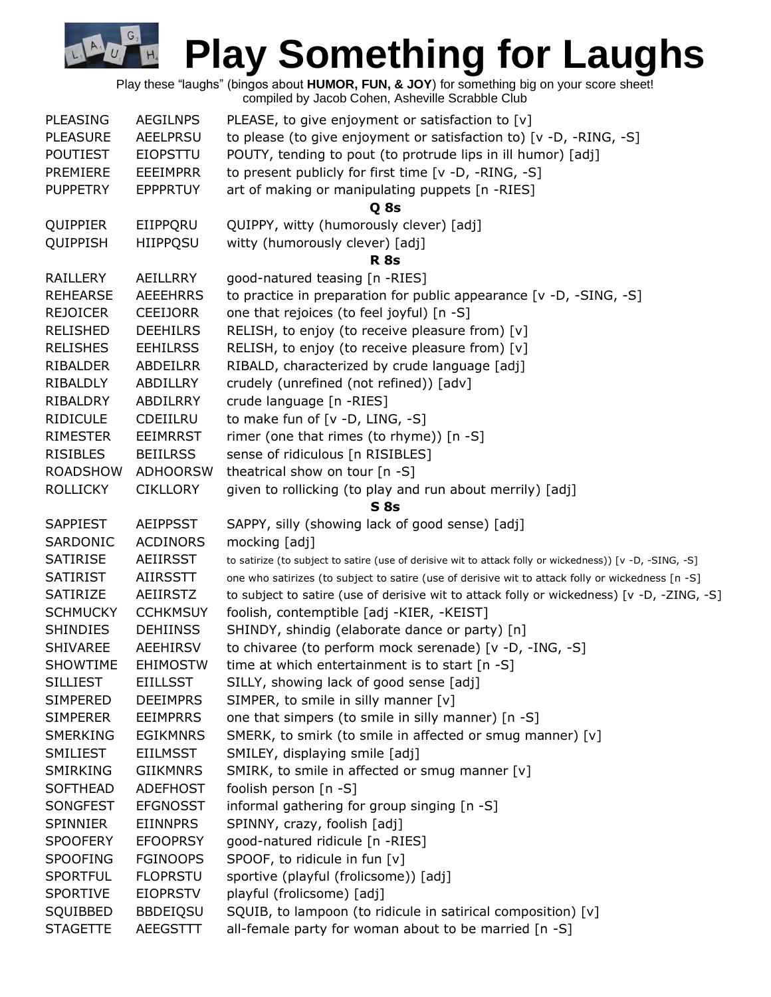Play these "laughs" (bingos about **HUMOR, FUN, & JOY**) for something big on your score sheet! compiled by Jacob Cohen, Asheville Scrabble Club

G.

 $H<sub>4</sub>$ 

| <b>PLEASING</b> | <b>AEGILNPS</b> | PLEASE, to give enjoyment or satisfaction to $[v]$                                                       |
|-----------------|-----------------|----------------------------------------------------------------------------------------------------------|
| <b>PLEASURE</b> | <b>AEELPRSU</b> | to please (to give enjoyment or satisfaction to) [v -D, -RING, -S]                                       |
| <b>POUTIEST</b> | <b>EIOPSTTU</b> | POUTY, tending to pout (to protrude lips in ill humor) [adj]                                             |
| PREMIERE        | <b>EEEIMPRR</b> | to present publicly for first time [v -D, -RING, -S]                                                     |
| <b>PUPPETRY</b> | <b>EPPPRTUY</b> | art of making or manipulating puppets [n -RIES]                                                          |
|                 |                 | Q 8s                                                                                                     |
| QUIPPIER        | EIIPPQRU        | QUIPPY, witty (humorously clever) [adj]                                                                  |
| QUIPPISH        | <b>HIIPPQSU</b> | witty (humorously clever) [adj]                                                                          |
|                 |                 | <b>R</b> 8s                                                                                              |
| <b>RAILLERY</b> | AEILLRRY        | good-natured teasing [n -RIES]                                                                           |
| <b>REHEARSE</b> | <b>AEEEHRRS</b> | to practice in preparation for public appearance [v -D, -SING, -S]                                       |
| <b>REJOICER</b> | <b>CEEIJORR</b> | one that rejoices (to feel joyful) [n -S]                                                                |
| <b>RELISHED</b> | <b>DEEHILRS</b> | RELISH, to enjoy (to receive pleasure from) [v]                                                          |
| <b>RELISHES</b> | <b>EEHILRSS</b> | RELISH, to enjoy (to receive pleasure from) [v]                                                          |
| RIBALDER        | ABDEILRR        | RIBALD, characterized by crude language [adj]                                                            |
| RIBALDLY        | ABDILLRY        | crudely (unrefined (not refined)) [adv]                                                                  |
| RIBALDRY        | ABDILRRY        | crude language [n -RIES]                                                                                 |
| <b>RIDICULE</b> | CDEIILRU        | to make fun of [v -D, LING, -S]                                                                          |
| <b>RIMESTER</b> | <b>EEIMRRST</b> | rimer (one that rimes (to rhyme)) [n -S]                                                                 |
| <b>RISIBLES</b> | <b>BEIILRSS</b> | sense of ridiculous [n RISIBLES]                                                                         |
| <b>ROADSHOW</b> | <b>ADHOORSW</b> | theatrical show on tour [n -S]                                                                           |
| <b>ROLLICKY</b> | <b>CIKLLORY</b> | given to rollicking (to play and run about merrily) [adj]                                                |
|                 |                 | S <sub>8s</sub>                                                                                          |
| <b>SAPPIEST</b> | <b>AEIPPSST</b> | SAPPY, silly (showing lack of good sense) [adj]                                                          |
| SARDONIC        | <b>ACDINORS</b> | mocking [adj]                                                                                            |
| <b>SATIRISE</b> | AEIIRSST        | to satirize (to subject to satire (use of derisive wit to attack folly or wickedness)) [v -D, -SING, -S] |
| <b>SATIRIST</b> | <b>AIIRSSTT</b> | one who satirizes (to subject to satire (use of derisive wit to attack folly or wickedness [n -S]        |
| SATIRIZE        | AEIIRSTZ        | to subject to satire (use of derisive wit to attack folly or wickedness) [v -D, -ZING, -S]               |
| <b>SCHMUCKY</b> | <b>CCHKMSUY</b> | foolish, contemptible [adj -KIER, -KEIST]                                                                |
| <b>SHINDIES</b> | <b>DEHIINSS</b> | SHINDY, shindig (elaborate dance or party) [n]                                                           |
| <b>SHIVAREE</b> | <b>AEEHIRSV</b> | to chivaree (to perform mock serenade) [v -D, -ING, -S]                                                  |
| <b>SHOWTIME</b> | <b>EHIMOSTW</b> | time at which entertainment is to start [n -S]                                                           |
| <b>SILLIEST</b> | <b>EIILLSST</b> | SILLY, showing lack of good sense [adj]                                                                  |
| <b>SIMPERED</b> | <b>DEEIMPRS</b> | SIMPER, to smile in silly manner [v]                                                                     |
| <b>SIMPERER</b> | <b>EEIMPRRS</b> | one that simpers (to smile in silly manner) [n -S]                                                       |
| <b>SMERKING</b> | <b>EGIKMNRS</b> | SMERK, to smirk (to smile in affected or smug manner) [v]                                                |
| SMILIEST        | <b>EIILMSST</b> | SMILEY, displaying smile [adj]                                                                           |
| SMIRKING        | <b>GIIKMNRS</b> | SMIRK, to smile in affected or smug manner [v]                                                           |
| <b>SOFTHEAD</b> | <b>ADEFHOST</b> | foolish person [n -S]                                                                                    |
| SONGFEST        | <b>EFGNOSST</b> | informal gathering for group singing [n -S]                                                              |
| <b>SPINNIER</b> | <b>EIINNPRS</b> | SPINNY, crazy, foolish [adj]                                                                             |
| <b>SPOOFERY</b> | <b>EFOOPRSY</b> | good-natured ridicule [n -RIES]                                                                          |
| <b>SPOOFING</b> | <b>FGINOOPS</b> | SPOOF, to ridicule in fun [v]                                                                            |
| <b>SPORTFUL</b> | <b>FLOPRSTU</b> | sportive (playful (frolicsome)) [adj]                                                                    |
| <b>SPORTIVE</b> | <b>EIOPRSTV</b> | playful (frolicsome) [adj]                                                                               |
| SQUIBBED        | <b>BBDEIQSU</b> | SQUIB, to lampoon (to ridicule in satirical composition) [v]                                             |
| <b>STAGETTE</b> | AEEGSTTT        | all-female party for woman about to be married [n -S]                                                    |